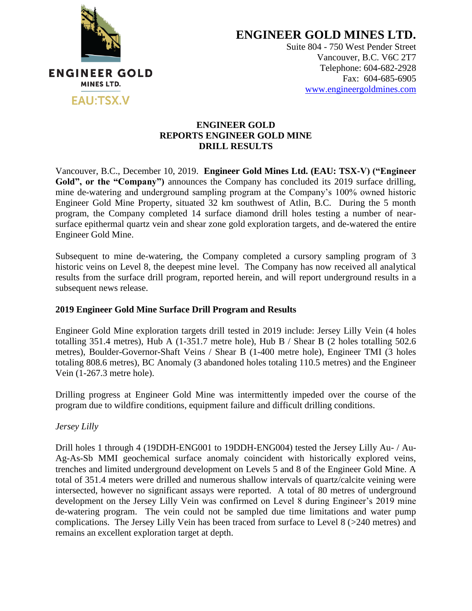

**ENGINEER GOLD MINES LTD.**

Suite 804 - 750 West Pender Street Vancouver, B.C. V6C 2T7 Telephone: 604-682-2928 Fax: 604-685-6905 [www.engineergoldmines.com](../../../../Users/Dale/AppData/Local/Microsoft/Windows/Temporary%20Internet%20Files/Library/Containers/com.apple.mail/Data/AppData/Local/Microsoft/Users/Dale/AppData/Local/Microsoft/Windows/Temporary%20Internet%20Files/Content.Outlook/RLQM2AKD/www.engineergoldmines.com)

### **ENGINEER GOLD REPORTS ENGINEER GOLD MINE DRILL RESULTS**

Vancouver, B.C., December 10, 2019. **Engineer Gold Mines Ltd. (EAU: TSX-V) ("Engineer**  Gold", or the "Company") announces the Company has concluded its 2019 surface drilling, mine de-watering and underground sampling program at the Company's 100% owned historic Engineer Gold Mine Property, situated 32 km southwest of Atlin, B.C. During the 5 month program, the Company completed 14 surface diamond drill holes testing a number of nearsurface epithermal quartz vein and shear zone gold exploration targets, and de-watered the entire Engineer Gold Mine.

Subsequent to mine de-watering, the Company completed a cursory sampling program of 3 historic veins on Level 8, the deepest mine level. The Company has now received all analytical results from the surface drill program, reported herein, and will report underground results in a subsequent news release.

## **2019 Engineer Gold Mine Surface Drill Program and Results**

Engineer Gold Mine exploration targets drill tested in 2019 include: Jersey Lilly Vein (4 holes totalling 351.4 metres), Hub A (1-351.7 metre hole), Hub B / Shear B (2 holes totalling 502.6 metres), Boulder-Governor-Shaft Veins / Shear B (1-400 metre hole), Engineer TMI (3 holes totaling 808.6 metres), BC Anomaly (3 abandoned holes totaling 110.5 metres) and the Engineer Vein (1-267.3 metre hole).

Drilling progress at Engineer Gold Mine was intermittently impeded over the course of the program due to wildfire conditions, equipment failure and difficult drilling conditions.

*Jersey Lilly*

Drill holes 1 through 4 (19DDH-ENG001 to 19DDH-ENG004) tested the Jersey Lilly Au- / Au-Ag-As-Sb MMI geochemical surface anomaly coincident with historically explored veins, trenches and limited underground development on Levels 5 and 8 of the Engineer Gold Mine. A total of 351.4 meters were drilled and numerous shallow intervals of quartz/calcite veining were intersected, however no significant assays were reported. A total of 80 metres of underground development on the Jersey Lilly Vein was confirmed on Level 8 during Engineer's 2019 mine de-watering program. The vein could not be sampled due time limitations and water pump complications. The Jersey Lilly Vein has been traced from surface to Level 8 (>240 metres) and remains an excellent exploration target at depth.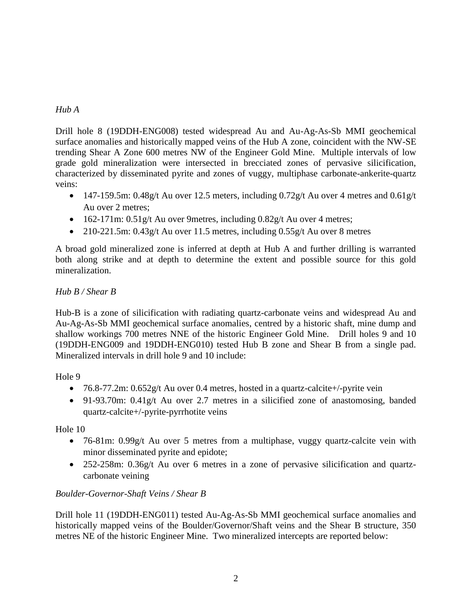# *Hub A*

Drill hole 8 (19DDH-ENG008) tested widespread Au and Au-Ag-As-Sb MMI geochemical surface anomalies and historically mapped veins of the Hub A zone, coincident with the NW-SE trending Shear A Zone 600 metres NW of the Engineer Gold Mine. Multiple intervals of low grade gold mineralization were intersected in brecciated zones of pervasive silicification, characterized by disseminated pyrite and zones of vuggy, multiphase carbonate-ankerite-quartz veins:

- $\bullet$  147-159.5m: 0.48g/t Au over 12.5 meters, including 0.72g/t Au over 4 metres and 0.61g/t Au over 2 metres;
- $\bullet$  162-171m: 0.51g/t Au over 9metres, including 0.82g/t Au over 4 metres;
- 210-221.5m: 0.43g/t Au over 11.5 metres, including  $0.55g/t$  Au over 8 metres

A broad gold mineralized zone is inferred at depth at Hub A and further drilling is warranted both along strike and at depth to determine the extent and possible source for this gold mineralization.

# *Hub B / Shear B*

Hub-B is a zone of silicification with radiating quartz-carbonate veins and widespread Au and Au-Ag-As-Sb MMI geochemical surface anomalies, centred by a historic shaft, mine dump and shallow workings 700 metres NNE of the historic Engineer Gold Mine. Drill holes 9 and 10 (19DDH-ENG009 and 19DDH-ENG010) tested Hub B zone and Shear B from a single pad. Mineralized intervals in drill hole 9 and 10 include:

Hole 9

- 76.8-77.2m:  $0.652g/t$  Au over 0.4 metres, hosted in a quartz-calcite+/-pyrite vein
- 91-93.70m: 0.41g/t Au over 2.7 metres in a silicified zone of anastomosing, banded quartz-calcite+/-pyrite-pyrrhotite veins

Hole 10

- 76-81m: 0.99g/t Au over 5 metres from a multiphase, vuggy quartz-calcite vein with minor disseminated pyrite and epidote;
- 252-258m: 0.36g/t Au over 6 metres in a zone of pervasive silicification and quartzcarbonate veining

# *Boulder-Governor-Shaft Veins / Shear B*

Drill hole 11 (19DDH-ENG011) tested Au-Ag-As-Sb MMI geochemical surface anomalies and historically mapped veins of the Boulder/Governor/Shaft veins and the Shear B structure, 350 metres NE of the historic Engineer Mine. Two mineralized intercepts are reported below: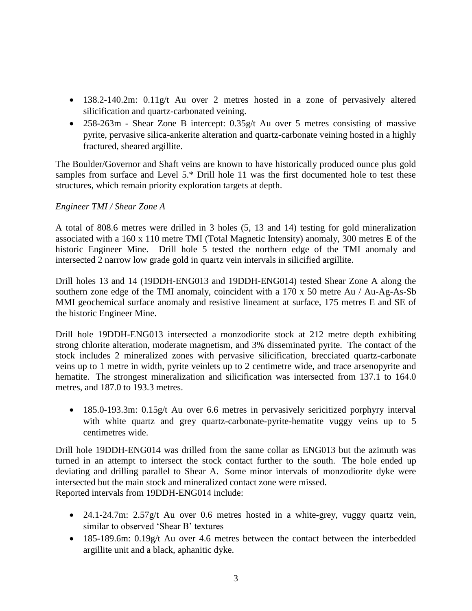- 138.2-140.2m: 0.11g/t Au over 2 metres hosted in a zone of pervasively altered silicification and quartz-carbonated veining.
- 258-263m Shear Zone B intercept: 0.35g/t Au over 5 metres consisting of massive pyrite, pervasive silica-ankerite alteration and quartz-carbonate veining hosted in a highly fractured, sheared argillite.

The Boulder/Governor and Shaft veins are known to have historically produced ounce plus gold samples from surface and Level 5.\* Drill hole 11 was the first documented hole to test these structures, which remain priority exploration targets at depth.

#### *Engineer TMI / Shear Zone A*

A total of 808.6 metres were drilled in 3 holes (5, 13 and 14) testing for gold mineralization associated with a 160 x 110 metre TMI (Total Magnetic Intensity) anomaly, 300 metres E of the historic Engineer Mine. Drill hole 5 tested the northern edge of the TMI anomaly and intersected 2 narrow low grade gold in quartz vein intervals in silicified argillite.

Drill holes 13 and 14 (19DDH-ENG013 and 19DDH-ENG014) tested Shear Zone A along the southern zone edge of the TMI anomaly, coincident with a 170 x 50 metre Au / Au-Ag-As-Sb MMI geochemical surface anomaly and resistive lineament at surface, 175 metres E and SE of the historic Engineer Mine.

Drill hole 19DDH-ENG013 intersected a monzodiorite stock at 212 metre depth exhibiting strong chlorite alteration, moderate magnetism, and 3% disseminated pyrite. The contact of the stock includes 2 mineralized zones with pervasive silicification, brecciated quartz-carbonate veins up to 1 metre in width, pyrite veinlets up to 2 centimetre wide, and trace arsenopyrite and hematite. The strongest mineralization and silicification was intersected from 137.1 to 164.0 metres, and 187.0 to 193.3 metres.

• 185.0-193.3m: 0.15g/t Au over 6.6 metres in pervasively sericitized porphyry interval with white quartz and grey quartz-carbonate-pyrite-hematite vuggy veins up to 5 centimetres wide.

Drill hole 19DDH-ENG014 was drilled from the same collar as ENG013 but the azimuth was turned in an attempt to intersect the stock contact further to the south. The hole ended up deviating and drilling parallel to Shear A. Some minor intervals of monzodiorite dyke were intersected but the main stock and mineralized contact zone were missed. Reported intervals from 19DDH-ENG014 include:

- 24.1-24.7m: 2.57g/t Au over 0.6 metres hosted in a white-grey, vuggy quartz vein, similar to observed 'Shear B' textures
- 185-189.6m: 0.19g/t Au over 4.6 metres between the contact between the interbedded argillite unit and a black, aphanitic dyke.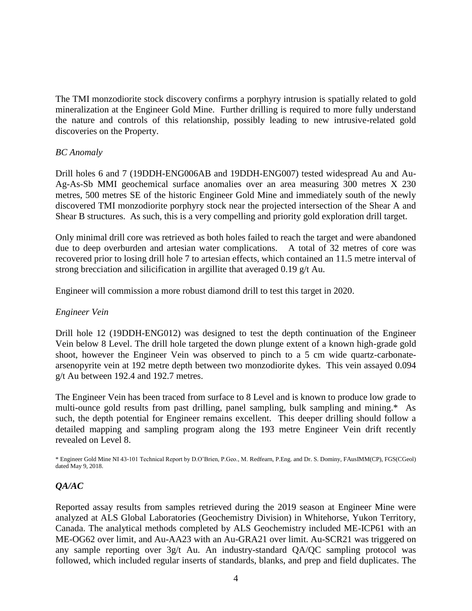The TMI monzodiorite stock discovery confirms a porphyry intrusion is spatially related to gold mineralization at the Engineer Gold Mine. Further drilling is required to more fully understand the nature and controls of this relationship, possibly leading to new intrusive-related gold discoveries on the Property.

#### *BC Anomaly*

Drill holes 6 and 7 (19DDH-ENG006AB and 19DDH-ENG007) tested widespread Au and Au-Ag-As-Sb MMI geochemical surface anomalies over an area measuring 300 metres X 230 metres, 500 metres SE of the historic Engineer Gold Mine and immediately south of the newly discovered TMI monzodiorite porphyry stock near the projected intersection of the Shear A and Shear B structures. As such, this is a very compelling and priority gold exploration drill target.

Only minimal drill core was retrieved as both holes failed to reach the target and were abandoned due to deep overburden and artesian water complications. A total of 32 metres of core was recovered prior to losing drill hole 7 to artesian effects, which contained an 11.5 metre interval of strong brecciation and silicification in argillite that averaged 0.19 g/t Au.

Engineer will commission a more robust diamond drill to test this target in 2020.

### *Engineer Vein*

Drill hole 12 (19DDH-ENG012) was designed to test the depth continuation of the Engineer Vein below 8 Level. The drill hole targeted the down plunge extent of a known high-grade gold shoot, however the Engineer Vein was observed to pinch to a 5 cm wide quartz-carbonatearsenopyrite vein at 192 metre depth between two monzodiorite dykes. This vein assayed 0.094 g/t Au between 192.4 and 192.7 metres.

The Engineer Vein has been traced from surface to 8 Level and is known to produce low grade to multi-ounce gold results from past drilling, panel sampling, bulk sampling and mining.\* As such, the depth potential for Engineer remains excellent. This deeper drilling should follow a detailed mapping and sampling program along the 193 metre Engineer Vein drift recently revealed on Level 8.

\* Engineer Gold Mine NI 43-101 Technical Report by D.O'Brien, P.Geo., M. Redfearn, P.Eng. and Dr. S. Dominy, FAusIMM(CP), FGS(CGeol) dated May 9, 2018.

### *QA/AC*

Reported assay results from samples retrieved during the 2019 season at Engineer Mine were analyzed at ALS Global Laboratories (Geochemistry Division) in Whitehorse, Yukon Territory, Canada. The analytical methods completed by ALS Geochemistry included ME-ICP61 with an ME-OG62 over limit, and Au-AA23 with an Au-GRA21 over limit. Au-SCR21 was triggered on any sample reporting over 3g/t Au. An industry-standard QA/QC sampling protocol was followed, which included regular inserts of standards, blanks, and prep and field duplicates. The